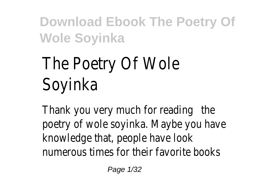# The Poetry Of Wole Soyinka

Thank you very much for reading poetry of wole soyink/taybe you have knowledge that, people have look numerous times for their favorite books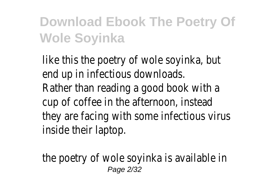like this the poetry of wole soyinka, but end up in infectious downloads. Rather than reading a good book with a cup of coffee in the afternoon, instead they are facing with some infectious virus inside their laptop.

the poetry of wole soyinka is available in Page 2/32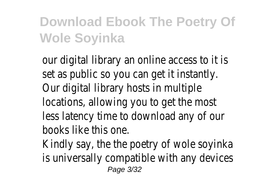our digital library an online access to it is set as public so you can get it instantly. Our digital library hosts in multiple locations, allowing you to get the most less latency time to download any of our books like this one.

Kindly say, the the poetry of wole soyinka is universally compatible with any devices Page 3/32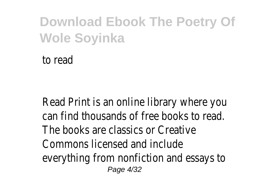to read

Read Print is an online library where you can find thousands of free books to read. The books are classics or Creative Commons licensed and include everything from nonfiction and essays to Page 4/32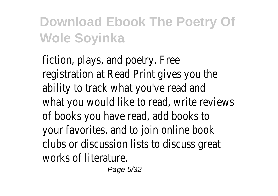fiction, plays, and poetry. Free registration at Read Print gives you the ability to track what you've read and what you would like to read, write reviews of books you have read, add books to your favorites, and to join online book clubs or discussion lists to discuss great works of literature.

Page 5/32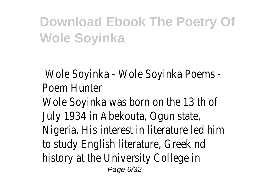Wole Soyinka - Wole Soyinka Poems - Poem Hunter Wole Soyinka was born on the 13 th of July 1934 in Abekouta, Ogun state, Nigeria. His interest in literature led him to study English literature, Greek nd history at the University College in Page 6/32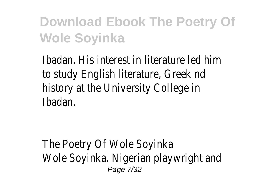Ibadan. His interest in literature led him to study English literature, Greek nd history at the University College in Ibadan.

The Poetry Of Wole Soyinka Wole Soyinka. Nigerian playwright and Page 7/32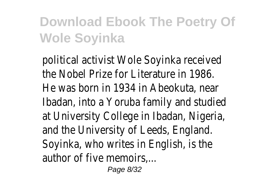political activist Wole Soyinka received the Nobel Prize for Literature in 1986. He was born in 1934 in Abeokuta, near Ibadan, into a Yoruba family and studied at University College in Ibadan, Nigeria, and the University of Leeds, England. Soyinka, who writes in English, is the author of five memoirs....

Page 8/32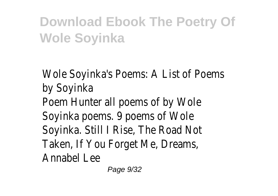Wole Soyinka's Poems: A List of Poems by Soyinka Poem Hunter all poems of by Wole Soyinka poems. 9 poems of Wole Soyinka. Still I Rise, The Road Not Taken, If You Forget Me, Dreams, Annabel Lee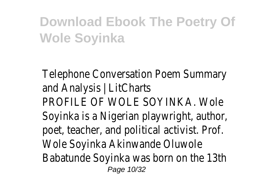Telephone Conversation Poem Summary and Analysis | LitCharts PROFILE OF WOLE SOYINKA. Wole Soyinka is a Nigerian playwright, author, poet, teacher, and political activist. Prof. Wole Soyinka Akinwande Oluwole Babatunde Soyinka was born on the 13th Page 10/32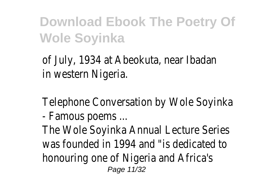of July, 1934 at Abeokuta, near Ibadan in western Nigeria.

Telephone Conversation by Wole Soyinka

- Famous poems ...

The Wole Soyinka Annual Lecture Series was founded in 1994 and "is dedicated to honouring one of Nigeria and Africa's Page 11/32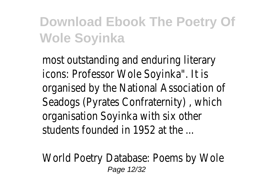most outstanding and enduring literary icons: Professor Wole Soyinka". It is organised by the National Association of Seadogs (Pyrates Confraternity) , which organisation Soyinka with six other students founded in 1952 at the

World Poetry Database: Poems by Wole Page 12/32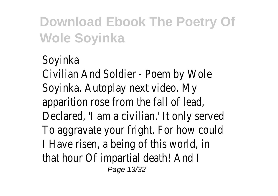Soyinka Civilian And Soldier - Poem by Wole Soyinka. Autoplay next video. My apparition rose from the fall of lead, Declared, 'I am a civilian.' It only served To aggravate your fright. For how could I Have risen, a being of this world, in that hour Of impartial death! And I Page 13/32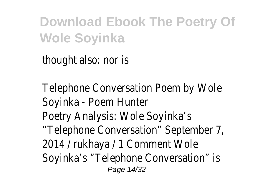thought also: nor is

Telephone Conversation Poem by Wole Soyinka - Poem Hunter Poetry Analysis: Wole Soyinka's "Telephone Conversation" September 7, 2014 / rukhaya / 1 Comment Wole Soyinka's "Telephone Conversation" is Page 14/32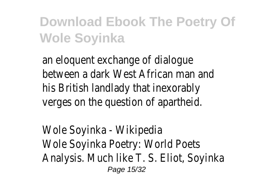an eloquent exchange of dialogue between a dark West African man and his British landlady that inexorably verges on the question of apartheid.

Wole Soyinka - Wikipedia Wole Soyinka Poetry: World Poets Analysis. Much like T. S. Eliot, Soyinka Page 15/32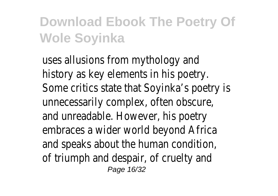uses allusions from mythology and history as key elements in his poetry. Some critics state that Soyinka's poetry is unnecessarily complex, often obscure, and unreadable. However, his poetry embraces a wider world beyond Africa and speaks about the human condition, of triumph and despair, of cruelty and Page 16/32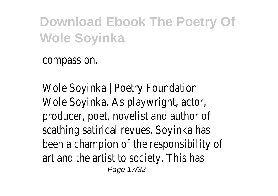compassion.

Wole Soyinka | Poetry Foundation Wole Soyinka. As playwright, actor, producer, poet, novelist and author of scathing satirical revues, Soyinka has been a champion of the responsibility of art and the artist to society. This has Page 17/32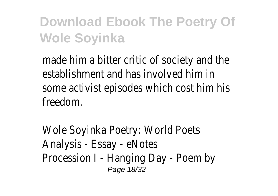made him a bitter critic of society and the establishment and has involved him in some activist episodes which cost him his freedom.

Wole Soyinka Poetry: World Poets Analysis - Essay - eNotes Procession I - Hanging Day - Poem by Page 18/32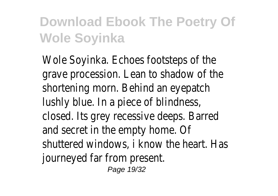Wole Soyinka. Echoes footsteps of the grave procession. Lean to shadow of the shortening morn. Behind an eyepatch lushly blue. In a piece of blindness, closed. Its grey recessive deeps. Barred and secret in the empty home. Of shuttered windows, i know the heart. Has journeyed far from present. Page 19/32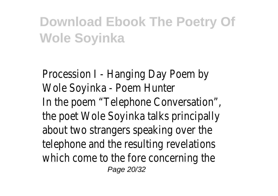Procession I - Hanging Day Poem by Wole Soyinka - Poem Hunter In the poem "Telephone Conversation", the poet Wole Soyinka talks principally about two strangers speaking over the telephone and the resulting revelations which come to the fore concerning the Page 20/32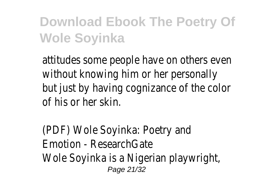attitudes some people have on others even without knowing him or her personally but just by having cognizance of the color of his or her skin.

(PDF) Wole Soyinka: Poetry and Emotion - ResearchGate Wole Soyinka is a Nigerian playwright, Page 21/32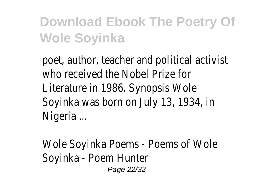poet, author, teacher and political activist who received the Nobel Prize for Literature in 1986. Synopsis Wole Soyinka was born on July 13, 1934, in Nigeria ...

Wole Soyinka Poems - Poems of Wole Soyinka - Poem Hunter Page 22/32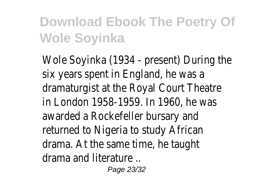Wole Soyinka (1934 - present) During the six years spent in England, he was a dramaturgist at the Royal Court Theatre in London 1958-1959. In 1960, he was awarded a Rockefeller bursary and returned to Nigeria to study African drama. At the same time, he taught drama and literature ..

Page 23/32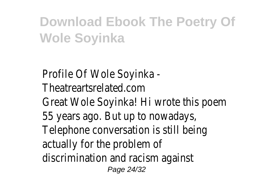Profile Of Wole Soyinka - Theatreartsrelated.com Great Wole Soyinka! Hi wrote this poem 55 years ago. But up to nowadays, Telephone conversation is still being actually for the problem of discrimination and racism against Page 24/32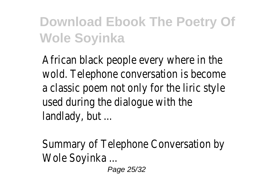African black people every where in the wold. Telephone conversation is become a classic poem not only for the liric style used during the dialogue with the landlady, but ...

Summary of Telephone Conversation by Wole Soyinka ...

Page 25/32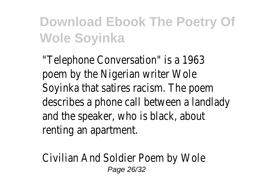"Telephone Conversation" is a 1963 poem by the Nigerian writer Wole Soyinka that satires racism. The poem describes a phone call between a landlady and the speaker, who is black, about renting an apartment.

Civilian And Soldier Poem by Wole Page 26/32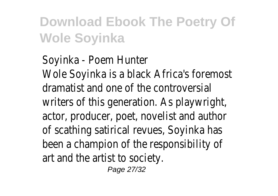Soyinka - Poem Hunter Wole Soyinka is a black Africa's foremost dramatist and one of the controversial writers of this generation. As playwright, actor, producer, poet, novelist and author of scathing satirical revues, Soyinka has been a champion of the responsibility of art and the artist to society.

Page 27/32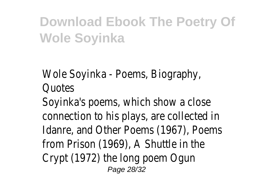Wole Soyinka - Poems, Biography, Quotes

Soyinka's poems, which show a close connection to his plays, are collected in Idanre, and Other Poems (1967), Poems from Prison (1969), A Shuttle in the Crypt (1972) the long poem Ogun Page 28/32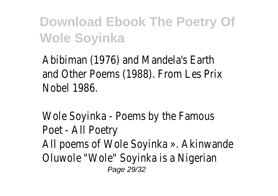Abibiman (1976) and Mandela's Earth and Other Poems (1988). From Les Prix Nobel 1986.

Wole Soyinka - Poems by the Famous Poet - All Poetry All poems of Wole Soyinka ». Akinwande Oluwole "Wole" Soyinka is a Nigerian Page 29/32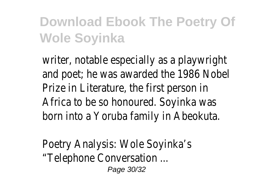writer, notable especially as a playwright and poet; he was awarded the 1986 Nobel Prize in Literature, the first person in Africa to be so honoured. Soyinka was born into a Yoruba family in Abeokuta.

Poetry Analysis: Wole Soyinka's "Telephone Conversation ... Page 30/32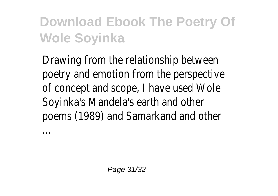Drawing from the relationship between poetry and emotion from the perspective of concept and scope, I have used Wole Soyinka's Mandela's earth and other poems (1989) and Samarkand and other

...